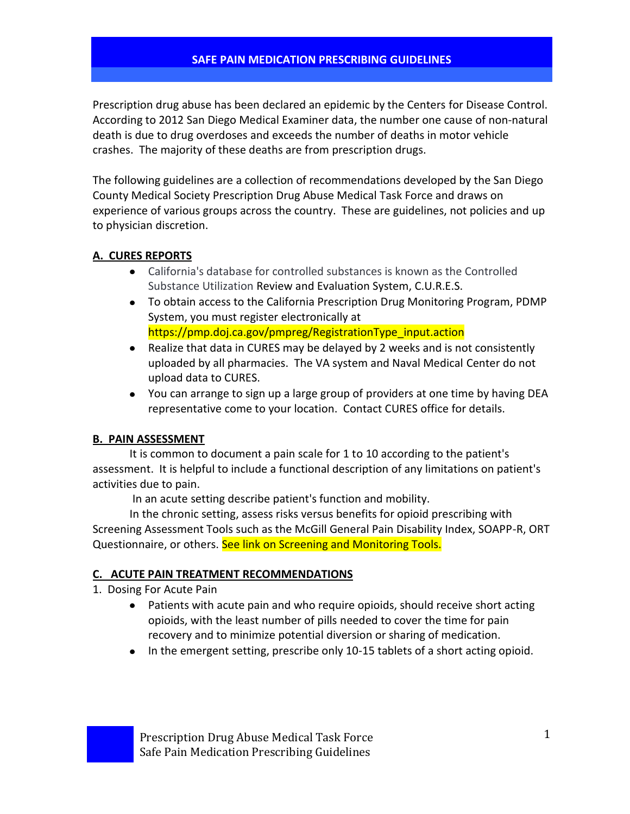Prescription drug abuse has been declared an epidemic by the Centers for Disease Control. According to 2012 San Diego Medical Examiner data, the number one cause of non-natural death is due to drug overdoses and exceeds the number of deaths in motor vehicle crashes. The majority of these deaths are from prescription drugs.

The following guidelines are a collection of recommendations developed by the San Diego County Medical Society Prescription Drug Abuse Medical Task Force and draws on experience of various groups across the country. These are guidelines, not policies and up to physician discretion.

### **A. CURES REPORTS**

- California's database for controlled substances is known as the Controlled Substance Utilization Review and Evaluation System, C.U.R.E.S.
- To obtain access to the California Prescription Drug Monitoring Program, PDMP System, you must register electronically at https://pmp.doj.ca.gov/pmpreg/RegistrationType\_input.action
- Realize that data in CURES may be delayed by 2 weeks and is not consistently uploaded by all pharmacies. The VA system and Naval Medical Center do not upload data to CURES.
- You can arrange to sign up a large group of providers at one time by having DEA representative come to your location. Contact CURES office for details.

### **B. PAIN ASSESSMENT**

It is common to document a pain scale for 1 to 10 according to the patient's assessment. It is helpful to include a functional description of any limitations on patient's activities due to pain.

In an acute setting describe patient's function and mobility.

In the chronic setting, assess risks versus benefits for opioid prescribing with Screening Assessment Tools such as the McGill General Pain Disability Index, SOAPP-R, ORT Questionnaire, or others. See link on Screening and Monitoring Tools.

### **C. ACUTE PAIN TREATMENT RECOMMENDATIONS**

- 1. Dosing For Acute Pain
	- $\bullet$ Patients with acute pain and who require opioids, should receive short acting opioids, with the least number of pills needed to cover the time for pain recovery and to minimize potential diversion or sharing of medication.
	- In the emergent setting, prescribe only 10-15 tablets of a short acting opioid.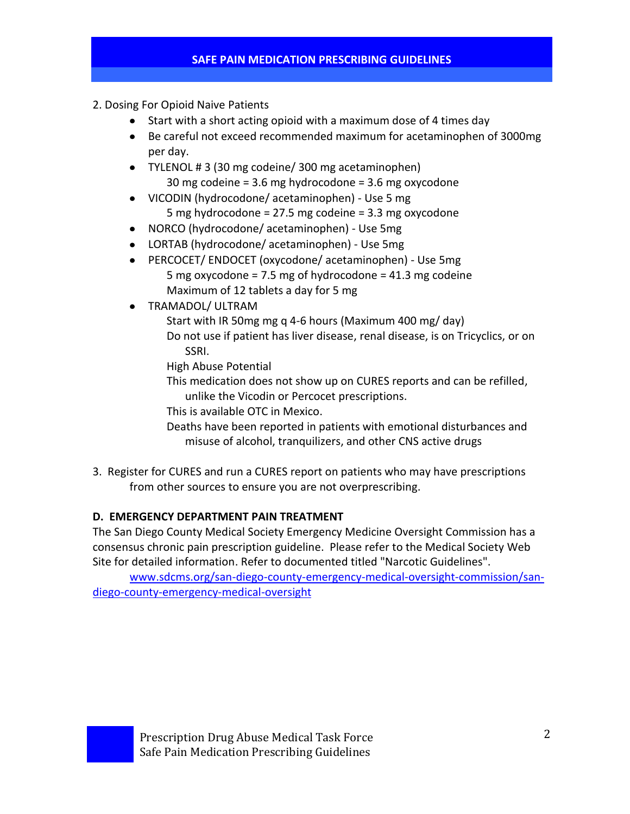- 2. Dosing For Opioid Naive Patients
	- Start with a short acting opioid with a maximum dose of 4 times day
	- Be careful not exceed recommended maximum for acetaminophen of 3000mg per day.
	- TYLENOL # 3 (30 mg codeine/ 300 mg acetaminophen) 30 mg codeine = 3.6 mg hydrocodone = 3.6 mg oxycodone
	- VICODIN (hydrocodone/ acetaminophen) Use 5 mg 5 mg hydrocodone = 27.5 mg codeine = 3.3 mg oxycodone
	- NORCO (hydrocodone/ acetaminophen) Use 5mg
	- LORTAB (hydrocodone/ acetaminophen) Use 5mg
	- PERCOCET/ ENDOCET (oxycodone/ acetaminophen) Use 5mg  $\bullet$ 5 mg oxycodone = 7.5 mg of hydrocodone = 41.3 mg codeine Maximum of 12 tablets a day for 5 mg
	- TRAMADOL/ ULTRAM  $\bullet$ 
		- Start with IR 50mg mg q 4-6 hours (Maximum 400 mg/ day) Do not use if patient has liver disease, renal disease, is on Tricyclics, or on SSRI.
		- High Abuse Potential
		- This medication does not show up on CURES reports and can be refilled, unlike the Vicodin or Percocet prescriptions.
		- This is available OTC in Mexico.
		- Deaths have been reported in patients with emotional disturbances and misuse of alcohol, tranquilizers, and other CNS active drugs
- 3. Register for CURES and run a CURES report on patients who may have prescriptions from other sources to ensure you are not overprescribing.

### **D. EMERGENCY DEPARTMENT PAIN TREATMENT**

The San Diego County Medical Society Emergency Medicine Oversight Commission has a consensus chronic pain prescription guideline. Please refer to the Medical Society Web Site for detailed information. Refer to documented titled "Narcotic Guidelines".

[www.sdcms.org/san-diego-county-emergency-medical-oversight-commission/san](http://www.sdcms.org/san-diego-county-emergency-medical-oversight-commission/san-diego-county-emergency-medical-oversight)[diego-county-emergency-medical-oversight](http://www.sdcms.org/san-diego-county-emergency-medical-oversight-commission/san-diego-county-emergency-medical-oversight)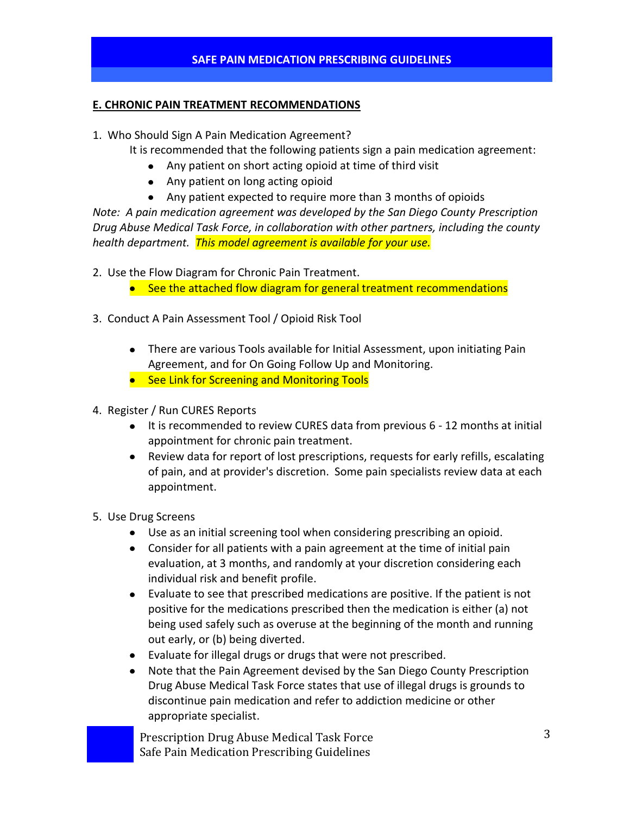#### **E. CHRONIC PAIN TREATMENT RECOMMENDATIONS**

- 1. Who Should Sign A Pain Medication Agreement?
	- It is recommended that the following patients sign a pain medication agreement:
		- Any patient on short acting opioid at time of third visit
		- Any patient on long acting opioid
		- Any patient expected to require more than 3 months of opioids

*Note: A pain medication agreement was developed by the San Diego County Prescription Drug Abuse Medical Task Force, in collaboration with other partners, including the county health department. This model agreement is available for your use.*

2. Use the Flow Diagram for Chronic Pain Treatment.

- See the attached flow diagram for general treatment recommendations
- 3. Conduct A Pain Assessment Tool / Opioid Risk Tool
	- There are various Tools available for Initial Assessment, upon initiating Pain Agreement, and for On Going Follow Up and Monitoring.
	- See Link for Screening and Monitoring Tools
- 4. Register / Run CURES Reports
	- It is recommended to review CURES data from previous 6 12 months at initial appointment for chronic pain treatment.
	- Review data for report of lost prescriptions, requests for early refills, escalating of pain, and at provider's discretion. Some pain specialists review data at each appointment.
- 5. Use Drug Screens
	- Use as an initial screening tool when considering prescribing an opioid.
	- Consider for all patients with a pain agreement at the time of initial pain evaluation, at 3 months, and randomly at your discretion considering each individual risk and benefit profile.
	- $\bullet$ Evaluate to see that prescribed medications are positive. If the patient is not positive for the medications prescribed then the medication is either (a) not being used safely such as overuse at the beginning of the month and running out early, or (b) being diverted.
	- Evaluate for illegal drugs or drugs that were not prescribed.
	- $\bullet$ Note that the Pain Agreement devised by the San Diego County Prescription Drug Abuse Medical Task Force states that use of illegal drugs is grounds to discontinue pain medication and refer to addiction medicine or other appropriate specialist.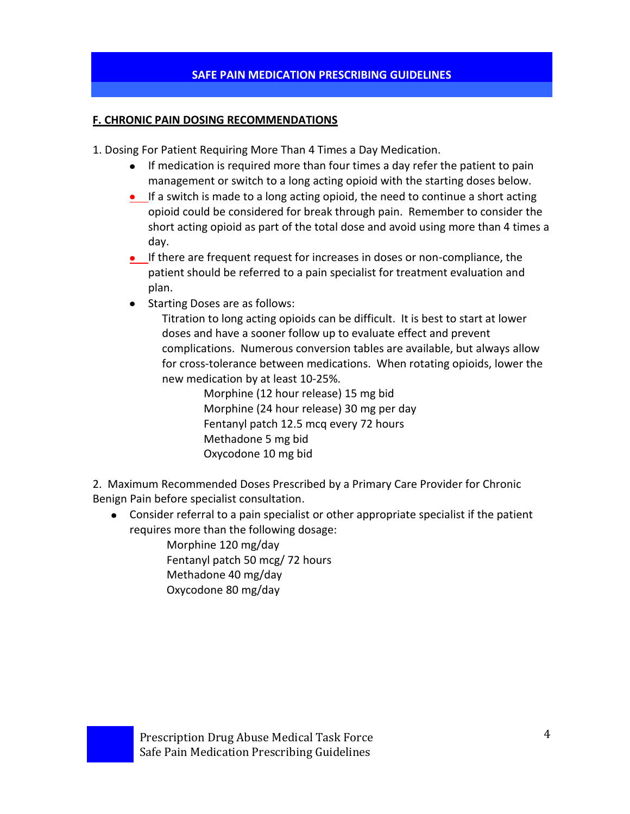### **F. CHRONIC PAIN DOSING RECOMMENDATIONS**

1. Dosing For Patient Requiring More Than 4 Times a Day Medication.

- If medication is required more than four times a day refer the patient to pain management or switch to a long acting opioid with the starting doses below.
- If a switch is made to a long acting opioid, the need to continue a short acting opioid could be considered for break through pain. Remember to consider the short acting opioid as part of the total dose and avoid using more than 4 times a day.
- **If there are frequent request for increases in doses or non-compliance, the** patient should be referred to a pain specialist for treatment evaluation and plan.
- Starting Doses are as follows:

Titration to long acting opioids can be difficult. It is best to start at lower doses and have a sooner follow up to evaluate effect and prevent complications. Numerous conversion tables are available, but always allow for cross-tolerance between medications. When rotating opioids, lower the new medication by at least 10-25%.

> Morphine (12 hour release) 15 mg bid Morphine (24 hour release) 30 mg per day Fentanyl patch 12.5 mcq every 72 hours Methadone 5 mg bid Oxycodone 10 mg bid

2. Maximum Recommended Doses Prescribed by a Primary Care Provider for Chronic Benign Pain before specialist consultation.

Consider referral to a pain specialist or other appropriate specialist if the patient  $\bullet$ requires more than the following dosage:

Morphine 120 mg/day Fentanyl patch 50 mcg/ 72 hours Methadone 40 mg/day Oxycodone 80 mg/day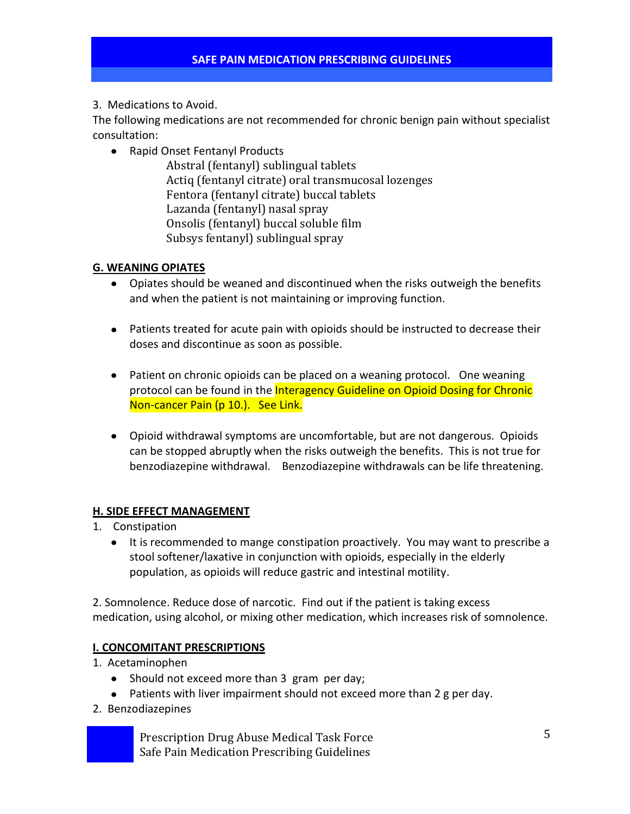### 3. Medications to Avoid.

The following medications are not recommended for chronic benign pain without specialist consultation:

• Rapid Onset Fentanyl Products

Abstral (fentanyl) sublingual tablets Actiq (fentanyl citrate) oral transmucosal lozenges Fentora (fentanyl citrate) buccal tablets Lazanda (fentanyl) nasal spray Onsolis (fentanyl) buccal soluble film Subsys fentanyl) sublingual spray

### **G. WEANING OPIATES**

- Opiates should be weaned and discontinued when the risks outweigh the benefits and when the patient is not maintaining or improving function.
- Patients treated for acute pain with opioids should be instructed to decrease their doses and discontinue as soon as possible.
- Patient on chronic opioids can be placed on a weaning protocol. One weaning protocol can be found in the Interagency Guideline on Opioid Dosing for Chronic Non-cancer Pain (p 10.). See Link.
- Opioid withdrawal symptoms are uncomfortable, but are not dangerous. Opioids can be stopped abruptly when the risks outweigh the benefits. This is not true for benzodiazepine withdrawal. Benzodiazepine withdrawals can be life threatening.

### **H. SIDE EFFECT MANAGEMENT**

- 1. Constipation
	- It is recommended to mange constipation proactively. You may want to prescribe a stool softener/laxative in conjunction with opioids, especially in the elderly population, as opioids will reduce gastric and intestinal motility.

2. Somnolence. Reduce dose of narcotic. Find out if the patient is taking excess medication, using alcohol, or mixing other medication, which increases risk of somnolence.

### **I. CONCOMITANT PRESCRIPTIONS**

- 1. Acetaminophen
	- Should not exceed more than 3 gram per day;
	- Patients with liver impairment should not exceed more than 2 g per day.
- 2. Benzodiazepines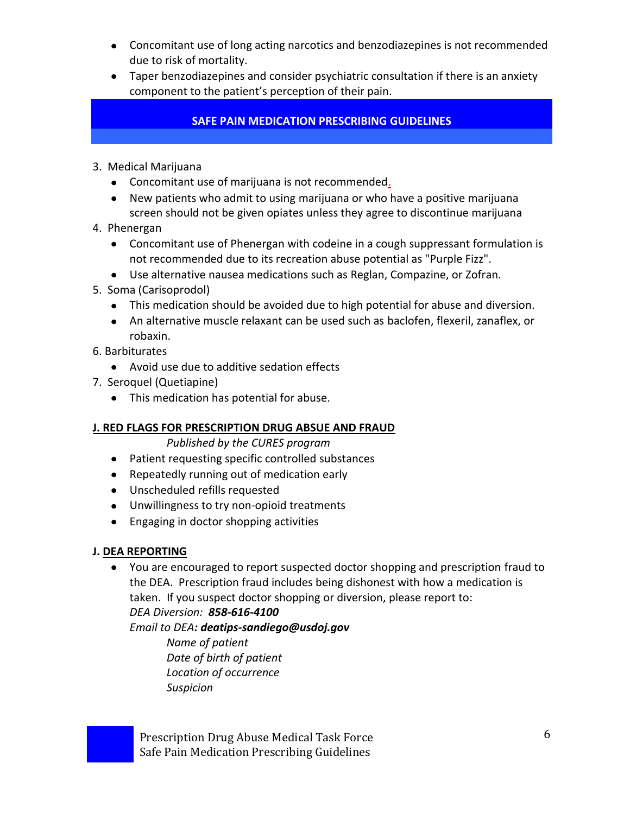- Concomitant use of long acting narcotics and benzodiazepines is not recommended due to risk of mortality.
- Taper benzodiazepines and consider psychiatric consultation if there is an anxiety component to the patient's perception of their pain.

- 3. Medical Marijuana
	- Concomitant use of marijuana is not recommended.
	- New patients who admit to using marijuana or who have a positive marijuana screen should not be given opiates unless they agree to discontinue marijuana
- 4. Phenergan
	- Concomitant use of Phenergan with codeine in a cough suppressant formulation is not recommended due to its recreation abuse potential as "Purple Fizz".
	- Use alternative nausea medications such as Reglan, Compazine, or Zofran.
- 5. Soma (Carisoprodol)
	- This medication should be avoided due to high potential for abuse and diversion.
	- An alternative muscle relaxant can be used such as baclofen, flexeril, zanaflex, or robaxin.
- 6. Barbiturates
	- Avoid use due to additive sedation effects
- 7. Seroquel (Quetiapine)
	- This medication has potential for abuse.

### **J. RED FLAGS FOR PRESCRIPTION DRUG ABSUE AND FRAUD**

*Published by the CURES program*

- Patient requesting specific controlled substances
- Repeatedly running out of medication early
- Unscheduled refills requested
- Unwillingness to try non-opioid treatments
- Engaging in doctor shopping activities

### **J. DEA REPORTING**

You are encouraged to report suspected doctor shopping and prescription fraud to the DEA. Prescription fraud includes being dishonest with how a medication is taken. If you suspect doctor shopping or diversion, please report to:

*DEA Diversion: 858-616-4100*

*Email to DEA: deatips-sandiego@usdoj.gov*

*Name of patient Date of birth of patient Location of occurrence Suspicion*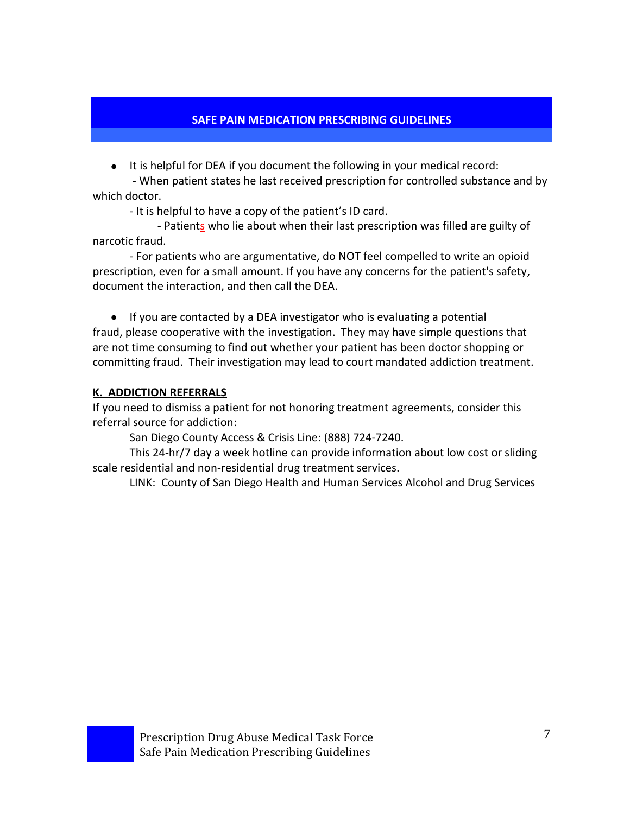It is helpful for DEA if you document the following in your medical record:

- When patient states he last received prescription for controlled substance and by which doctor.

- It is helpful to have a copy of the patient's ID card.

- Patients who lie about when their last prescription was filled are guilty of narcotic fraud.

- For patients who are argumentative, do NOT feel compelled to write an opioid prescription, even for a small amount. If you have any concerns for the patient's safety, document the interaction, and then call the DEA.

• If you are contacted by a DEA investigator who is evaluating a potential fraud, please cooperative with the investigation. They may have simple questions that are not time consuming to find out whether your patient has been doctor shopping or committing fraud. Their investigation may lead to court mandated addiction treatment.

# **K. ADDICTION REFERRALS**

If you need to dismiss a patient for not honoring treatment agreements, consider this referral source for addiction:

San Diego County Access & Crisis Line: (888) 724-7240.

This 24-hr/7 day a week hotline can provide information about low cost or sliding scale residential and non-residential drug treatment services.

LINK: County of San Diego Health and Human Services Alcohol and Drug Services